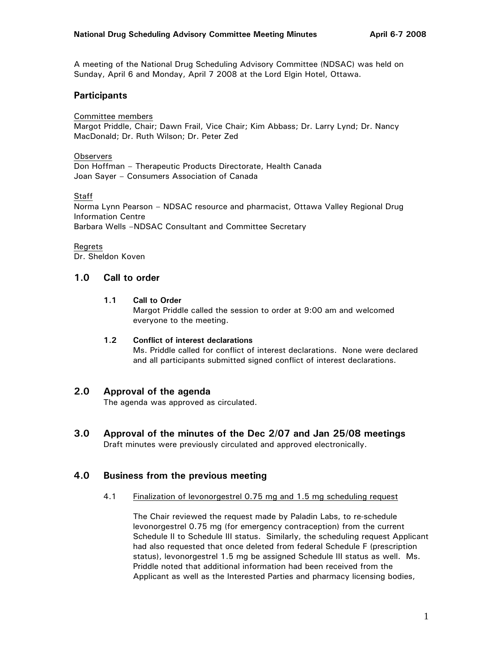A meeting of the National Drug Scheduling Advisory Committee (NDSAC) was held on Sunday, April 6 and Monday, April 7 2008 at the Lord Elgin Hotel, Ottawa.

# **Participants**

Committee members

Margot Priddle, Chair; Dawn Frail, Vice Chair; Kim Abbass; Dr. Larry Lynd; Dr. Nancy MacDonald; Dr. Ruth Wilson; Dr. Peter Zed

## **Observers**

Don Hoffman – Therapeutic Products Directorate, Health Canada Joan Sayer – Consumers Association of Canada

## **Staff**

Norma Lynn Pearson – NDSAC resource and pharmacist, Ottawa Valley Regional Drug Information Centre Barbara Wells –NDSAC Consultant and Committee Secretary

## Regrets

Dr. Sheldon Koven

# **1.0 Call to order**

## **1.1 Call to Order**

Margot Priddle called the session to order at 9:00 am and welcomed everyone to the meeting.

## **1.2 Conflict of interest declarations**

Ms. Priddle called for conflict of interest declarations. None were declared and all participants submitted signed conflict of interest declarations.

# **2.0 Approval of the agenda**

The agenda was approved as circulated.

**3.0 Approval of the minutes of the Dec 2/07 and Jan 25/08 meetings**  Draft minutes were previously circulated and approved electronically.

# **4.0 Business from the previous meeting**

4.1 Finalization of levonorgestrel 0.75 mg and 1.5 mg scheduling request

The Chair reviewed the request made by Paladin Labs, to re-schedule levonorgestrel 0.75 mg (for emergency contraception) from the current Schedule II to Schedule III status. Similarly, the scheduling request Applicant had also requested that once deleted from federal Schedule F (prescription status), levonorgestrel 1.5 mg be assigned Schedule III status as well. Ms. Priddle noted that additional information had been received from the Applicant as well as the Interested Parties and pharmacy licensing bodies,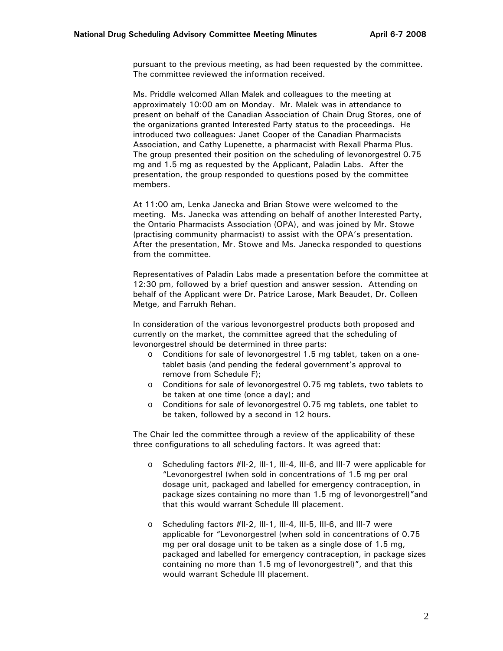pursuant to the previous meeting, as had been requested by the committee. The committee reviewed the information received.

Ms. Priddle welcomed Allan Malek and colleagues to the meeting at approximately 10:00 am on Monday. Mr. Malek was in attendance to present on behalf of the Canadian Association of Chain Drug Stores, one of the organizations granted Interested Party status to the proceedings. He introduced two colleagues: Janet Cooper of the Canadian Pharmacists Association, and Cathy Lupenette, a pharmacist with Rexall Pharma Plus. The group presented their position on the scheduling of levonorgestrel 0.75 mg and 1.5 mg as requested by the Applicant, Paladin Labs. After the presentation, the group responded to questions posed by the committee members.

At 11:00 am, Lenka Janecka and Brian Stowe were welcomed to the meeting. Ms. Janecka was attending on behalf of another Interested Party, the Ontario Pharmacists Association (OPA), and was joined by Mr. Stowe (practising community pharmacist) to assist with the OPA's presentation. After the presentation, Mr. Stowe and Ms. Janecka responded to questions from the committee.

Representatives of Paladin Labs made a presentation before the committee at 12:30 pm, followed by a brief question and answer session. Attending on behalf of the Applicant were Dr. Patrice Larose, Mark Beaudet, Dr. Colleen Metge, and Farrukh Rehan.

In consideration of the various levonorgestrel products both proposed and currently on the market, the committee agreed that the scheduling of levonorgestrel should be determined in three parts:

- o Conditions for sale of levonorgestrel 1.5 mg tablet, taken on a onetablet basis (and pending the federal government's approval to remove from Schedule F);
- o Conditions for sale of levonorgestrel 0.75 mg tablets, two tablets to be taken at one time (once a day); and
- o Conditions for sale of levonorgestrel 0.75 mg tablets, one tablet to be taken, followed by a second in 12 hours.

The Chair led the committee through a review of the applicability of these three configurations to all scheduling factors. It was agreed that:

- o Scheduling factors #II-2, III-1, III-4, III-6, and III-7 were applicable for "Levonorgestrel (when sold in concentrations of 1.5 mg per oral dosage unit, packaged and labelled for emergency contraception, in package sizes containing no more than 1.5 mg of levonorgestrel)"and that this would warrant Schedule III placement.
- o Scheduling factors #II-2, III-1, III-4, III-5, III-6, and III-7 were applicable for "Levonorgestrel (when sold in concentrations of 0.75 mg per oral dosage unit to be taken as a single dose of 1.5 mg, packaged and labelled for emergency contraception, in package sizes containing no more than 1.5 mg of levonorgestrel)", and that this would warrant Schedule III placement.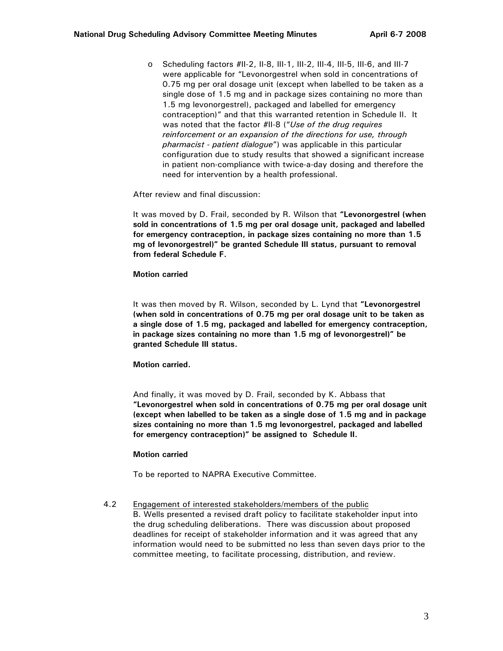o Scheduling factors #II-2, II-8, III-1, III-2, III-4, III-5, III-6, and III-7 were applicable for "Levonorgestrel when sold in concentrations of 0.75 mg per oral dosage unit (except when labelled to be taken as a single dose of 1.5 mg and in package sizes containing no more than 1.5 mg levonorgestrel), packaged and labelled for emergency contraception)" and that this warranted retention in Schedule II. It was noted that the factor #II-8 ("*Use of the drug requires reinforcement or an expansion of the directions for use, through pharmacist - patient dialogue*") was applicable in this particular configuration due to study results that showed a significant increase in patient non-compliance with twice-a-day dosing and therefore the need for intervention by a health professional.

After review and final discussion:

It was moved by D. Frail, seconded by R. Wilson that **"Levonorgestrel (when sold in concentrations of 1.5 mg per oral dosage unit, packaged and labelled for emergency contraception, in package sizes containing no more than 1.5 mg of levonorgestrel)" be granted Schedule III status, pursuant to removal from federal Schedule F.** 

**Motion carried** 

It was then moved by R. Wilson, seconded by L. Lynd that **"Levonorgestrel (when sold in concentrations of 0.75 mg per oral dosage unit to be taken as a single dose of 1.5 mg, packaged and labelled for emergency contraception, in package sizes containing no more than 1.5 mg of levonorgestrel)" be granted Schedule III status.** 

**Motion carried.** 

And finally, it was moved by D. Frail, seconded by K. Abbass that **"Levonorgestrel when sold in concentrations of 0.75 mg per oral dosage unit (except when labelled to be taken as a single dose of 1.5 mg and in package sizes containing no more than 1.5 mg levonorgestrel, packaged and labelled for emergency contraception)" be assigned to Schedule II.** 

#### **Motion carried**

To be reported to NAPRA Executive Committee.

4.2 Engagement of interested stakeholders/members of the public B. Wells presented a revised draft policy to facilitate stakeholder input into the drug scheduling deliberations. There was discussion about proposed deadlines for receipt of stakeholder information and it was agreed that any information would need to be submitted no less than seven days prior to the committee meeting, to facilitate processing, distribution, and review.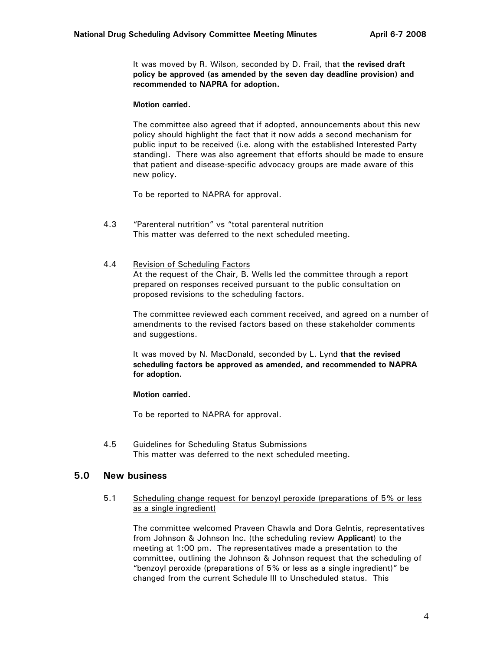It was moved by R. Wilson, seconded by D. Frail, that **the revised draft policy be approved (as amended by the seven day deadline provision) and recommended to NAPRA for adoption.** 

#### **Motion carried.**

The committee also agreed that if adopted, announcements about this new policy should highlight the fact that it now adds a second mechanism for public input to be received (i.e. along with the established Interested Party standing). There was also agreement that efforts should be made to ensure that patient and disease-specific advocacy groups are made aware of this new policy.

To be reported to NAPRA for approval.

- 4.3 "Parenteral nutrition" vs "total parenteral nutrition This matter was deferred to the next scheduled meeting.
- 4.4 Revision of Scheduling Factors At the request of the Chair, B. Wells led the committee through a report prepared on responses received pursuant to the public consultation on proposed revisions to the scheduling factors.

The committee reviewed each comment received, and agreed on a number of amendments to the revised factors based on these stakeholder comments and suggestions.

It was moved by N. MacDonald, seconded by L. Lynd **that the revised scheduling factors be approved as amended, and recommended to NAPRA for adoption.** 

#### **Motion carried.**

To be reported to NAPRA for approval.

4.5 Guidelines for Scheduling Status Submissions This matter was deferred to the next scheduled meeting.

## **5.0 New business**

5.1 Scheduling change request for benzoyl peroxide (preparations of 5% or less as a single ingredient)

The committee welcomed Praveen Chawla and Dora Gelntis, representatives from Johnson & Johnson Inc. (the scheduling review **Applicant**) to the meeting at 1:00 pm. The representatives made a presentation to the committee, outlining the Johnson & Johnson request that the scheduling of "benzoyl peroxide (preparations of 5% or less as a single ingredient)" be changed from the current Schedule III to Unscheduled status. This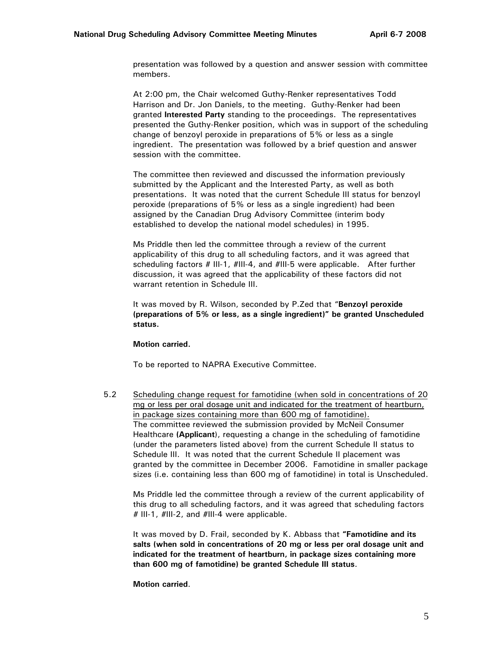presentation was followed by a question and answer session with committee members.

At 2:00 pm, the Chair welcomed Guthy-Renker representatives Todd Harrison and Dr. Jon Daniels, to the meeting. Guthy-Renker had been granted **Interested Party** standing to the proceedings. The representatives presented the Guthy-Renker position, which was in support of the scheduling change of benzoyl peroxide in preparations of 5% or less as a single ingredient. The presentation was followed by a brief question and answer session with the committee.

The committee then reviewed and discussed the information previously submitted by the Applicant and the Interested Party, as well as both presentations. It was noted that the current Schedule III status for benzoyl peroxide (preparations of 5% or less as a single ingredient) had been assigned by the Canadian Drug Advisory Committee (interim body established to develop the national model schedules) in 1995.

Ms Priddle then led the committee through a review of the current applicability of this drug to all scheduling factors, and it was agreed that scheduling factors # III-1, #III-4, and #III-5 were applicable. After further discussion, it was agreed that the applicability of these factors did not warrant retention in Schedule III.

It was moved by R. Wilson, seconded by P.Zed that "**Benzoyl peroxide (preparations of 5% or less, as a single ingredient)" be granted Unscheduled status.** 

#### **Motion carried.**

To be reported to NAPRA Executive Committee.

5.2 Scheduling change request for famotidine (when sold in concentrations of 20 mg or less per oral dosage unit and indicated for the treatment of heartburn, in package sizes containing more than 600 mg of famotidine). The committee reviewed the submission provided by McNeil Consumer Healthcare **(Applicant**), requesting a change in the scheduling of famotidine (under the parameters listed above) from the current Schedule II status to Schedule III. It was noted that the current Schedule II placement was granted by the committee in December 2006. Famotidine in smaller package sizes (i.e. containing less than 600 mg of famotidine) in total is Unscheduled.

Ms Priddle led the committee through a review of the current applicability of this drug to all scheduling factors, and it was agreed that scheduling factors # III-1, #III-2, and #III-4 were applicable.

It was moved by D. Frail, seconded by K. Abbass that **"Famotidine and its salts (when sold in concentrations of 20 mg or less per oral dosage unit and indicated for the treatment of heartburn, in package sizes containing more than 600 mg of famotidine) be granted Schedule III status**.

#### **Motion carried**.